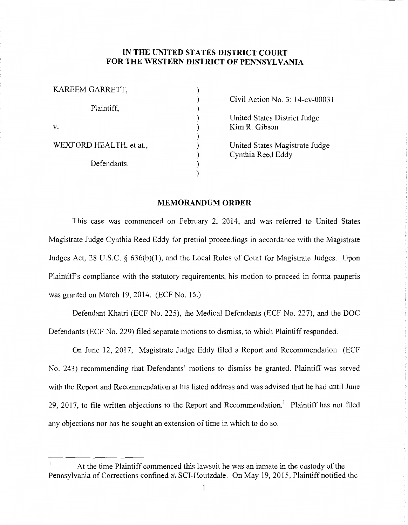## **IN THE UNITED STATES DISTRICT COURT FOR THE WESTERN DISTRICT OF PENNSYLVANIA**

| KAREEM GARRETT,         |  |
|-------------------------|--|
| Plaintiff,              |  |
| V.                      |  |
| WEXFORD HEALTH, et at., |  |
| Defendants.             |  |
|                         |  |

Civil Action No. 3: 14-cv-00031

United States District Judge Kim R. Gibson

United States Magistrate Judge Cynthia Reed Eddy

## **MEMORANDUM ORDER**

This case was commenced on February 2, 2014, and was referred to United States Magistrate Judge Cynthia Reed Eddy for pretrial proceedings in accordance with the Magistrate Judges Act, 28 U.S.C. § 636(b)(l), and the Local Rules of Court for Magistrate Judges. Upon Plaintiff's compliance with the statutory requirements, his motion to proceed in forma pauperis was granted on March 19, 2014. (ECF No. 15.)

Defendant Khatri (ECF No. 225), the Medical Defendants (ECF No. 227), and the DOC Defendants (ECF No. 229) filed separate motions to dismiss, to which Plaintiff responded.

On June 12, 2017, Magistrate Judge Eddy filed a Report and Recommendation (ECF No. 243) recommending that Defendants' motions to dismiss be granted. Plaintiff was served with the Report and Recommendation at his listed address and was advised that he had until June 29, 2017, to file written objections to the Report and Recommendation.<sup>1</sup> Plaintiff has not filed any objections nor has he sought an extension of time in which to do so.

At the time Plaintiff commenced this lawsuit he was an inmate in the custody of the Pennsylvania of Corrections confined at SCI-Houtzdale. On May 19, 2015, Plaintiff notified the